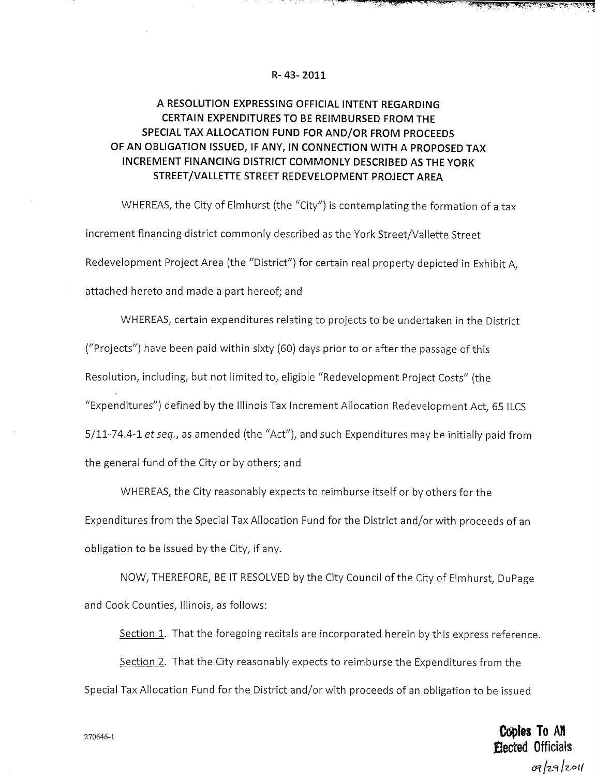## **R- 43-2011**

## **A RESOLUTION EXPRESSING OFFICIAL INTENT REGARDING CERTAIN EXPENDITURES TO BE REIMBURSED FROM THE SPECIAL TAX ALLOCATION FUND FOR AND/OR FROM PROCEEDS OF AN OBLIGATION ISSUED, IF ANY, IN CONNECTION WITH A PROPOSED TAX INCREMENT FINANCING DISTRICT COMMONLY DESCRIBED AS THE YORK STREET/VALLETTE STREET REDEVELOPMENT PROJECT AREA**

WHEREAS, the City of Elmhurst (the "City") is contemplating the formation of a tax increment financing district commonly described as the York Street/Vallette Street Redevelopment Project Area (the "District") for certain real property depicted in Exhibit A, attached hereto and made a part hereof; and

WHEREAS, certain expenditures relating to projects to be undertaken in the District ("Projects") have been paid within sixty (60) days prior to or after the passage of this Resolution, including, but not limited to, eligible "Redevelopment Project Costs" (the "Expenditures") defined by the Illinois Tax Increment Allocation Redevelopment Act, 65 ILCS  $5/11$ -74.4-1 et seq., as amended (the "Act"), and such Expenditures may be initially paid from the general fund of the City or by others; and

WHEREAS, the City reasonably expects to reimburse itself or by others for the Expenditures from the Special Tax Allocation Fund for the District and/or with proceeds of an obligation to be issued by the City, if any.

NOW, THEREFORE, BE IT RESOLVED by the City Council of the City of Elmhurst, DuPage and Cook Counties, Illinois, as follows:

Section 1. That the foregoing recitals are incorporated herein by this express reference.

Section 2. That the City reasonably expects to reimburse the Expenditures from the Special Tax Allocation Fund for the District and/or with proceeds of an obligation to be issued

> **Coples To An** Elected Officialsল/z9/z011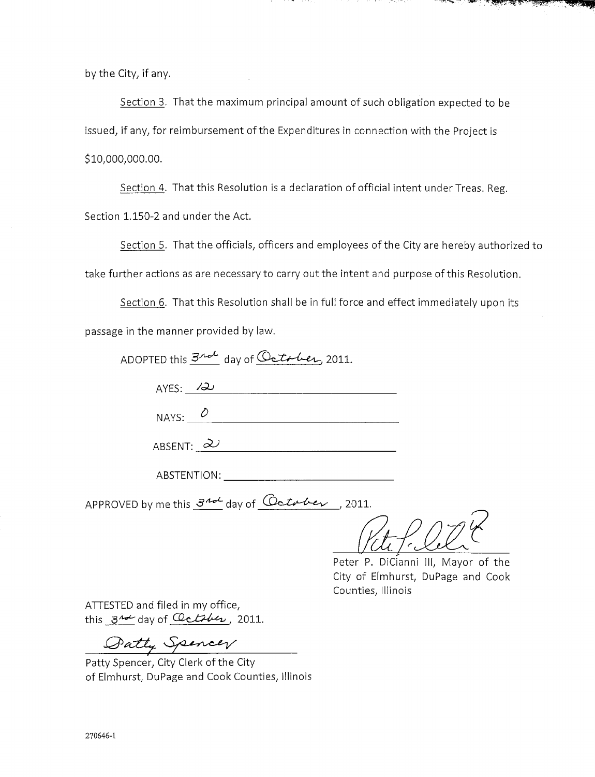by the City, if any.

Section 3. That the maximum principal amount of such obligation expected to be issued, if any, for reimbursement of the Expenditures in connection with the Project is \$10,000,000.00.

Section 4. That this Resolution is a declaration of official intent under Treas. Reg. Section 1.150-2 and under the Act.

Section 5. That the officials, officers and employees of the City are hereby authorized to take further actions as are necessary to carry out the intent and purpose of this Resolution.

Section 6. That this Resolution shall be in full force and effect immediately upon its passage in the manner provided by law.

| ADOPTED this $\frac{3}{4}$ day of October, 2011. |  |
|--------------------------------------------------|--|
| AYES: $\lambda$                                  |  |
| NAYS: $\varnothing$                              |  |
| ABSENT: $\partial$                               |  |

ABSTENTION:

APPROVED by me this  $\frac{3^{n-1}}{n}$  day of  $\frac{7^{n-1}}{n}$ , 2011.

<u>Viti</u>

्र स्कूल के स

Peter P. DiCianni III, Mayor of the City of Elmhurst, DuPage and Cook Counties, Illinois

ATTESTED and filed in my office, this  $3^{n-1}$  day of  $Q$ ctiber, 2011.

Datty Spencer

Patty Spencer, City Clerk of the City of Elmhurst, DuPage and Cook Counties, Illinois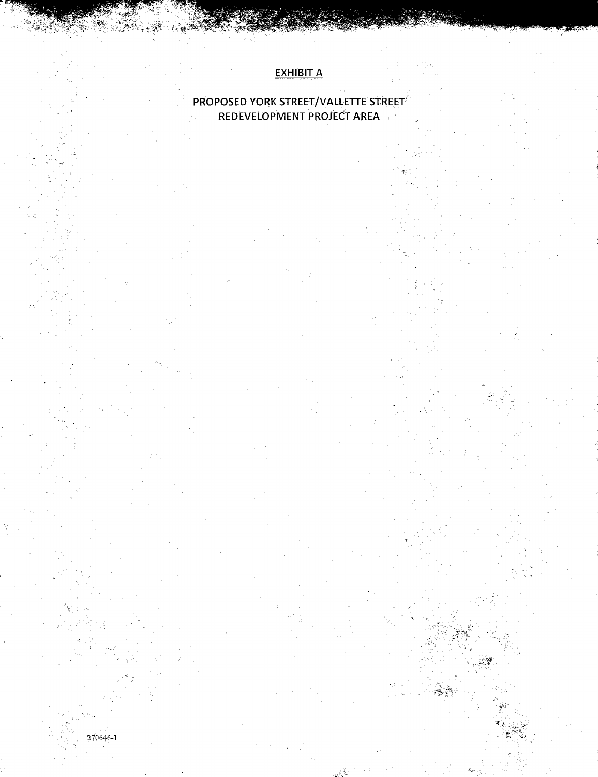## EXHIBIT A

## PROPOSED YORK STREET/VALLETTE STREET  $\mathcal{L}_{\mathrm{c}}$